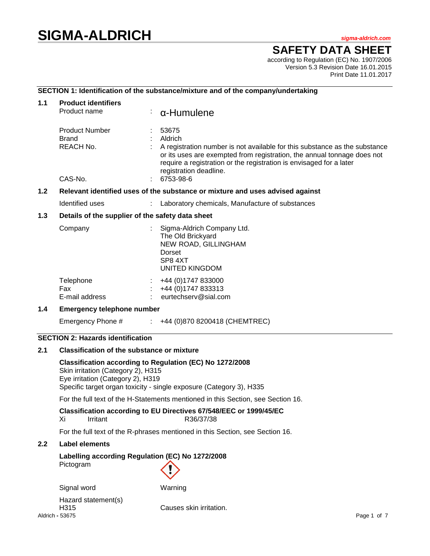# **SIGMA-ALDRICH** *sigma-aldrich.com*

## **SAFETY DATA SHEET**

according to Regulation (EC) No. 1907/2006 Version 5.3 Revision Date 16.01.2015 Print Date 11.01.2017

## **SECTION 1: Identification of the substance/mixture and of the company/undertaking**

| 1.1              | <b>Product identifiers</b><br>Product name                                    |                                                  | $\alpha$ -Humulene                                                                                                                                                                                                                                                                      |  |  |  |
|------------------|-------------------------------------------------------------------------------|--------------------------------------------------|-----------------------------------------------------------------------------------------------------------------------------------------------------------------------------------------------------------------------------------------------------------------------------------------|--|--|--|
|                  | <b>Product Number</b><br>Brand<br>REACH No.<br>CAS-No.                        |                                                  | 53675<br>Aldrich<br>A registration number is not available for this substance as the substance<br>or its uses are exempted from registration, the annual tonnage does not<br>require a registration or the registration is envisaged for a later<br>registration deadline.<br>6753-98-6 |  |  |  |
| 1.2 <sub>2</sub> | Relevant identified uses of the substance or mixture and uses advised against |                                                  |                                                                                                                                                                                                                                                                                         |  |  |  |
|                  | Identified uses                                                               |                                                  | Laboratory chemicals, Manufacture of substances                                                                                                                                                                                                                                         |  |  |  |
| 1.3              |                                                                               | Details of the supplier of the safety data sheet |                                                                                                                                                                                                                                                                                         |  |  |  |
|                  | Company                                                                       |                                                  | Sigma-Aldrich Company Ltd.<br>The Old Brickyard<br>NEW ROAD, GILLINGHAM<br>Dorset<br>SP8 4XT<br><b>UNITED KINGDOM</b>                                                                                                                                                                   |  |  |  |
|                  | Telephone<br>Fax<br>E-mail address                                            |                                                  | +44 (0) 1747 833000<br>+44 (0) 1747 833313<br>eurtechserv@sial.com                                                                                                                                                                                                                      |  |  |  |
| 1.4              | <b>Emergency telephone number</b>                                             |                                                  |                                                                                                                                                                                                                                                                                         |  |  |  |
|                  | Emergency Phone #                                                             |                                                  | $\div$ +44 (0)870 8200418 (CHEMTREC)                                                                                                                                                                                                                                                    |  |  |  |

## **SECTION 2: Hazards identification**

#### **2.1 Classification of the substance or mixture**

**Classification according to Regulation (EC) No 1272/2008** Skin irritation (Category 2), H315 Eye irritation (Category 2), H319 Specific target organ toxicity - single exposure (Category 3), H335

For the full text of the H-Statements mentioned in this Section, see Section 16.

# **Classification according to EU Directives 67/548/EEC or 1999/45/EC**

R36/37/38

For the full text of the R-phrases mentioned in this Section, see Section 16.

## **2.2 Label elements**

## **Labelling according Regulation (EC) No 1272/2008** Pictogram

Signal word Warning

Aldrich **-** 53675 Page 1 of 7 Hazard statement(s) H315 Causes skin irritation.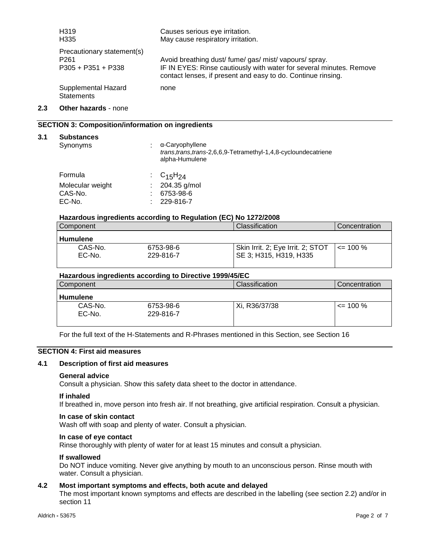|     | H319<br>H335                                                           | Causes serious eye irritation.<br>May cause respiratory irritation.                                                                                                                           |
|-----|------------------------------------------------------------------------|-----------------------------------------------------------------------------------------------------------------------------------------------------------------------------------------------|
|     | Precautionary statement(s)<br>P <sub>261</sub><br>$P305 + P351 + P338$ | Avoid breathing dust/ fume/ gas/ mist/ vapours/ spray.<br>IF IN EYES: Rinse cautiously with water for several minutes. Remove<br>contact lenses, if present and easy to do. Continue rinsing. |
|     | Supplemental Hazard<br><b>Statements</b>                               | none                                                                                                                                                                                          |
| 2.3 | <b>Other hazards - none</b>                                            |                                                                                                                                                                                               |

#### **SECTION 3: Composition/information on ingredients**

#### **3.1 Substances**

| Synonyms                                         | α-Caryophyllene<br>trans, trans, trans-2,6,6,9-Tetramethyl-1,4,8-cycloundecatriene<br>alpha-Humulene |
|--------------------------------------------------|------------------------------------------------------------------------------------------------------|
| Formula<br>Molecular weight<br>CAS-No.<br>EC-No. | : $C_{15}H_{24}$<br>204.35 g/mol<br>6753-98-6<br>229-816-7                                           |

#### **Hazardous ingredients according to Regulation (EC) No 1272/2008**

| Component         |                        | <b>Classification</b>                                       | Concentration |
|-------------------|------------------------|-------------------------------------------------------------|---------------|
| <b>Humulene</b>   |                        |                                                             |               |
| CAS-No.<br>EC-No. | 6753-98-6<br>229-816-7 | Skin Irrit. 2; Eye Irrit. 2; STOT<br>SE 3; H315, H319, H335 | $\leq$ 100 %  |

#### **Hazardous ingredients according to Directive 1999/45/EC**

| Component         |                        | Classification | Concentration |
|-------------------|------------------------|----------------|---------------|
| <b>Humulene</b>   |                        |                |               |
| CAS-No.<br>EC-No. | 6753-98-6<br>229-816-7 | Xi, R36/37/38  | $\leq$ 100 %  |

For the full text of the H-Statements and R-Phrases mentioned in this Section, see Section 16

## **SECTION 4: First aid measures**

#### **4.1 Description of first aid measures**

#### **General advice**

Consult a physician. Show this safety data sheet to the doctor in attendance.

#### **If inhaled**

If breathed in, move person into fresh air. If not breathing, give artificial respiration. Consult a physician.

#### **In case of skin contact**

Wash off with soap and plenty of water. Consult a physician.

### **In case of eye contact**

Rinse thoroughly with plenty of water for at least 15 minutes and consult a physician.

#### **If swallowed**

Do NOT induce vomiting. Never give anything by mouth to an unconscious person. Rinse mouth with water. Consult a physician.

## **4.2 Most important symptoms and effects, both acute and delayed**

The most important known symptoms and effects are described in the labelling (see section 2.2) and/or in section 11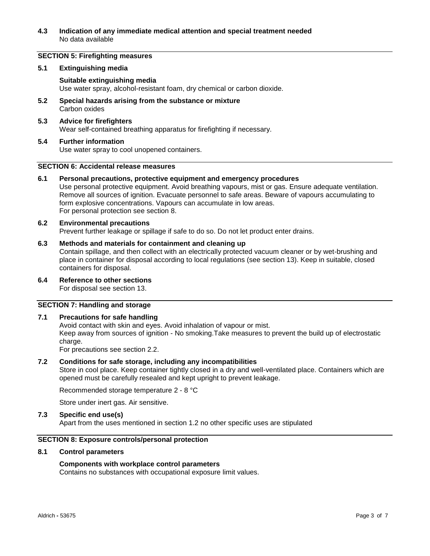### **4.3 Indication of any immediate medical attention and special treatment needed** No data available

## **SECTION 5: Firefighting measures**

#### **5.1 Extinguishing media**

## **Suitable extinguishing media**

Use water spray, alcohol-resistant foam, dry chemical or carbon dioxide.

- **5.2 Special hazards arising from the substance or mixture** Carbon oxides
- **5.3 Advice for firefighters** Wear self-contained breathing apparatus for firefighting if necessary.
- **5.4 Further information** Use water spray to cool unopened containers.

#### **SECTION 6: Accidental release measures**

## **6.1 Personal precautions, protective equipment and emergency procedures**

Use personal protective equipment. Avoid breathing vapours, mist or gas. Ensure adequate ventilation. Remove all sources of ignition. Evacuate personnel to safe areas. Beware of vapours accumulating to form explosive concentrations. Vapours can accumulate in low areas. For personal protection see section 8.

#### **6.2 Environmental precautions**

Prevent further leakage or spillage if safe to do so. Do not let product enter drains.

#### **6.3 Methods and materials for containment and cleaning up**

Contain spillage, and then collect with an electrically protected vacuum cleaner or by wet-brushing and place in container for disposal according to local regulations (see section 13). Keep in suitable, closed containers for disposal.

## **6.4 Reference to other sections**

For disposal see section 13.

#### **SECTION 7: Handling and storage**

#### **7.1 Precautions for safe handling**

Avoid contact with skin and eyes. Avoid inhalation of vapour or mist. Keep away from sources of ignition - No smoking.Take measures to prevent the build up of electrostatic charge.

For precautions see section 2.2.

#### **7.2 Conditions for safe storage, including any incompatibilities**

Store in cool place. Keep container tightly closed in a dry and well-ventilated place. Containers which are opened must be carefully resealed and kept upright to prevent leakage.

Recommended storage temperature 2 - 8 °C

Store under inert gas. Air sensitive.

#### **7.3 Specific end use(s)**

Apart from the uses mentioned in section 1.2 no other specific uses are stipulated

## **SECTION 8: Exposure controls/personal protection**

#### **8.1 Control parameters**

#### **Components with workplace control parameters**

Contains no substances with occupational exposure limit values.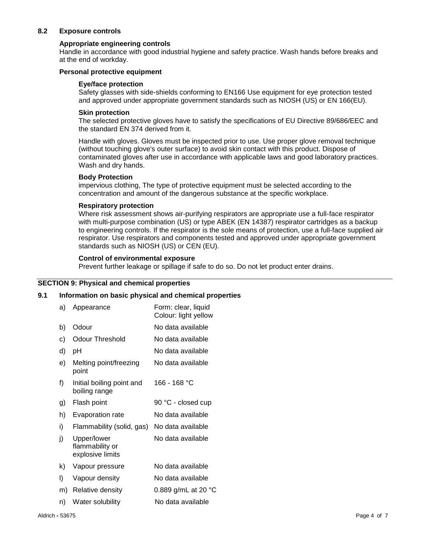## **8.2 Exposure controls**

#### **Appropriate engineering controls**

Handle in accordance with good industrial hygiene and safety practice. Wash hands before breaks and at the end of workday.

#### **Personal protective equipment**

#### **Eye/face protection**

Safety glasses with side-shields conforming to EN166 Use equipment for eye protection tested and approved under appropriate government standards such as NIOSH (US) or EN 166(EU).

#### **Skin protection**

The selected protective gloves have to satisfy the specifications of EU Directive 89/686/EEC and the standard EN 374 derived from it.

Handle with gloves. Gloves must be inspected prior to use. Use proper glove removal technique (without touching glove's outer surface) to avoid skin contact with this product. Dispose of contaminated gloves after use in accordance with applicable laws and good laboratory practices. Wash and dry hands.

#### **Body Protection**

impervious clothing, The type of protective equipment must be selected according to the concentration and amount of the dangerous substance at the specific workplace.

#### **Respiratory protection**

Where risk assessment shows air-purifying respirators are appropriate use a full-face respirator with multi-purpose combination (US) or type ABEK (EN 14387) respirator cartridges as a backup to engineering controls. If the respirator is the sole means of protection, use a full-face supplied air respirator. Use respirators and components tested and approved under appropriate government standards such as NIOSH (US) or CEN (EU).

#### **Control of environmental exposure**

Prevent further leakage or spillage if safe to do so. Do not let product enter drains.

#### **SECTION 9: Physical and chemical properties**

#### **9.1 Information on basic physical and chemical properties**

| a) | Appearance                                         | Form: clear, liquid<br>Colour: light yellow |
|----|----------------------------------------------------|---------------------------------------------|
| b) | Odour                                              | No data available                           |
| c) | <b>Odour Threshold</b>                             | No data available                           |
| d) | рH                                                 | No data available                           |
| e) | Melting point/freezing<br>point                    | No data available                           |
| f) | Initial boiling point and<br>boiling range         | 166 - 168 °C                                |
| g) | Flash point                                        | 90 °C - closed cup                          |
| h) | <b>Evaporation rate</b>                            | No data available                           |
| i) | Flammability (solid, gas)                          | No data available                           |
| j) | Upper/lower<br>flammability or<br>explosive limits | No data available                           |
| k) | Vapour pressure                                    | No data available                           |
| I) | Vapour density                                     | No data available                           |
| m) | Relative density                                   | 0.889 g/mL at 20 °C                         |
| n) | Water solubility                                   | No data available                           |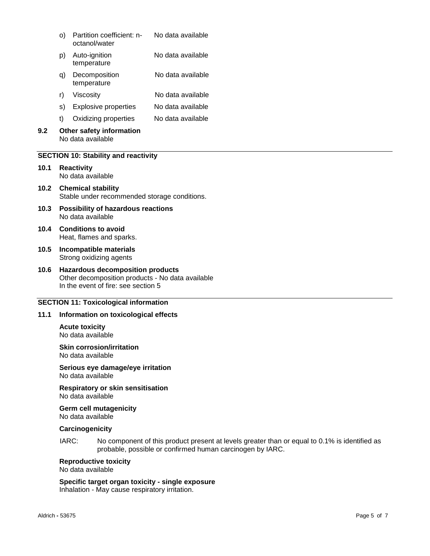|     | O)                                            | Partition coefficient: n-<br>octanol/water | No data available |
|-----|-----------------------------------------------|--------------------------------------------|-------------------|
|     | p)                                            | Auto-ignition<br>temperature               | No data available |
|     | q)                                            | Decomposition<br>temperature               | No data available |
|     | r)                                            | Viscosity                                  | No data available |
|     | S)                                            | Explosive properties                       | No data available |
|     | t)                                            | Oxidizing properties                       | No data available |
| 9.2 | Other safety information<br>No data available |                                            |                   |

#### **SECTION 10: Stability and reactivity**

- **10.1 Reactivity** No data available
- **10.2 Chemical stability** Stable under recommended storage conditions.
- **10.3 Possibility of hazardous reactions** No data available
- **10.4 Conditions to avoid** Heat, flames and sparks.
- **10.5 Incompatible materials** Strong oxidizing agents
- **10.6 Hazardous decomposition products** Other decomposition products - No data available In the event of fire: see section 5

#### **SECTION 11: Toxicological information**

#### **11.1 Information on toxicological effects**

**Acute toxicity** No data available

**Skin corrosion/irritation**

No data available

**Serious eye damage/eye irritation** No data available

## **Respiratory or skin sensitisation**

No data available

**Germ cell mutagenicity** No data available

#### **Carcinogenicity**

IARC: No component of this product present at levels greater than or equal to 0.1% is identified as probable, possible or confirmed human carcinogen by IARC.

### **Reproductive toxicity**

No data available

## **Specific target organ toxicity - single exposure**

Inhalation - May cause respiratory irritation.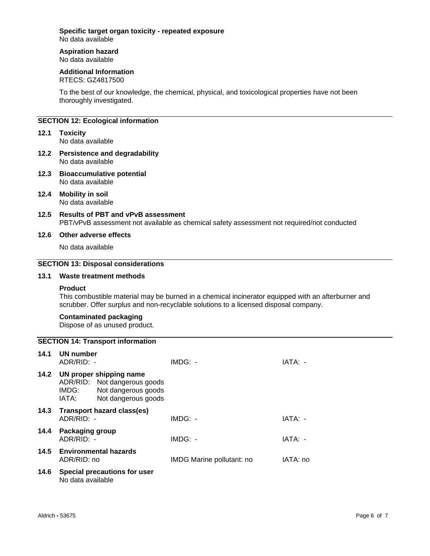## **Specific target organ toxicity - repeated exposure**

No data available

#### **Aspiration hazard** No data available

## **Additional Information**

RTECS: GZ4817500

To the best of our knowledge, the chemical, physical, and toxicological properties have not been thoroughly investigated.

## **SECTION 12: Ecological information**

- **12.1 Toxicity** No data available
- **12.2 Persistence and degradability** No data available
- **12.3 Bioaccumulative potential** No data available
- **12.4 Mobility in soil** No data available
- **12.5 Results of PBT and vPvB assessment** PBT/vPvB assessment not available as chemical safety assessment not required/not conducted

### **12.6 Other adverse effects**

No data available

#### **SECTION 13: Disposal considerations**

#### **13.1 Waste treatment methods**

#### **Product**

This combustible material may be burned in a chemical incinerator equipped with an afterburner and scrubber. Offer surplus and non-recyclable solutions to a licensed disposal company.

#### **Contaminated packaging**

Dispose of as unused product.

|      |                               | <b>SECTION 14: Transport information</b>                                                              |                           |           |
|------|-------------------------------|-------------------------------------------------------------------------------------------------------|---------------------------|-----------|
| 14.1 | UN number<br>ADR/RID: -       |                                                                                                       | IMDG: -                   | IATA: -   |
| 14.2 | IMDG:<br>IATA:                | UN proper shipping name<br>ADR/RID: Not dangerous goods<br>Not dangerous goods<br>Not dangerous goods |                           |           |
| 14.3 | $ADR/RID: -$                  | Transport hazard class(es)                                                                            | $IMDG: -$                 | $IATA: -$ |
| 14.4 | Packaging group<br>ADR/RID: - |                                                                                                       | $IMDG: -$                 | IATA: -   |
| 14.5 | ADR/RID: no                   | <b>Environmental hazards</b>                                                                          | IMDG Marine pollutant: no | IATA: no  |
| 14.6 | No data available             | Special precautions for user                                                                          |                           |           |
|      |                               |                                                                                                       |                           |           |